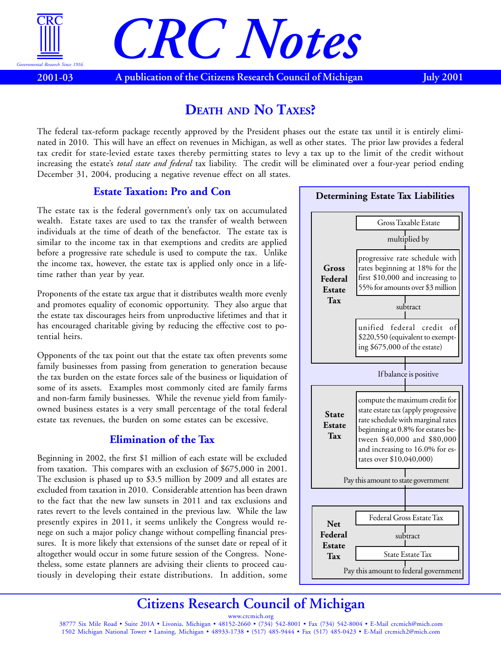

# *CRC Notes*

**2001-03 A publication of the Citizens Research Council of Michigan July 2001**

### **DEATH AND NO TAXES?**

The federal tax-reform package recently approved by the President phases out the estate tax until it is entirely eliminated in 2010. This will have an effect on revenues in Michigan, as well as other states. The prior law provides a federal tax credit for state-levied estate taxes thereby permitting states to levy a tax up to the limit of the credit without increasing the estate's *total state and federal* tax liability. The credit will be eliminated over a four-year period ending December 31, 2004, producing a negative revenue effect on all states.

#### **Estate Taxation: Pro and Con**

The estate tax is the federal government's only tax on accumulated wealth. Estate taxes are used to tax the transfer of wealth between individuals at the time of death of the benefactor. The estate tax is similar to the income tax in that exemptions and credits are applied before a progressive rate schedule is used to compute the tax. Unlike the income tax, however, the estate tax is applied only once in a lifetime rather than year by year.

Proponents of the estate tax argue that it distributes wealth more evenly and promotes equality of economic opportunity. They also argue that the estate tax discourages heirs from unproductive lifetimes and that it has encouraged charitable giving by reducing the effective cost to potential heirs.

Opponents of the tax point out that the estate tax often prevents some family businesses from passing from generation to generation because the tax burden on the estate forces sale of the business or liquidation of some of its assets. Examples most commonly cited are family farms and non-farm family businesses. While the revenue yield from familyowned business estates is a very small percentage of the total federal estate tax revenues, the burden on some estates can be excessive.

#### **Elimination of the Tax**

Beginning in 2002, the first \$1 million of each estate will be excluded from taxation. This compares with an exclusion of \$675,000 in 2001. The exclusion is phased up to \$3.5 million by 2009 and all estates are excluded from taxation in 2010. Considerable attention has been drawn to the fact that the new law sunsets in 2011 and tax exclusions and rates revert to the levels contained in the previous law. While the law presently expires in 2011, it seems unlikely the Congress would renege on such a major policy change without compelling financial pressures. It is more likely that extensions of the sunset date or repeal of it altogether would occur in some future session of the Congress. Nonetheless, some estate planners are advising their clients to proceed cautiously in developing their estate distributions. In addition, some



## **Citizens Research Council of Michigan**

www.crcmich.org 38777 Six Mile Road • Suite 201A • Livonia, Michigan • 48152-2660 • (734) 542-8001 • Fax (734) 542-8004 • E-Mail crcmich@mich.com 1502 Michigan National Tower • Lansing, Michigan • 48933-1738 • (517) 485-9444 • Fax (517) 485-0423 • E-Mail crcmich2@mich.com